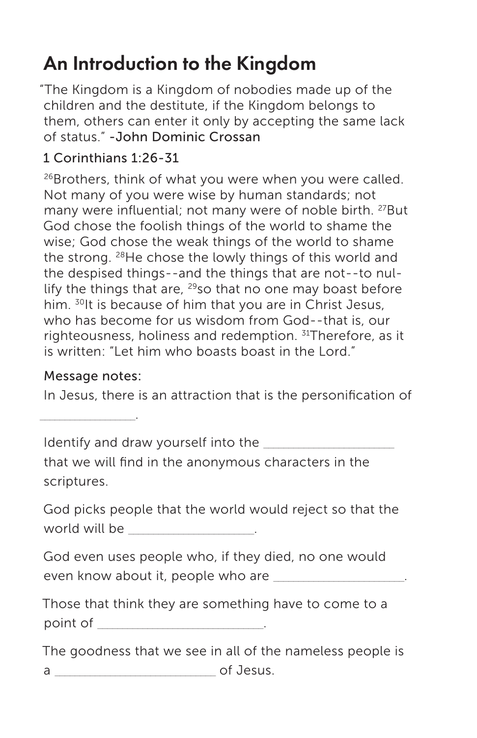## An Introduction to the Kingdom

"The Kingdom is a Kingdom of nobodies made up of the children and the destitute, if the Kingdom belongs to them, others can enter it only by accepting the same lack of status." -John Dominic Crossan

## 1 Corinthians 1:26-31

<sup>26</sup>Brothers, think of what you were when you were called. Not many of you were wise by human standards; not many were influential; not many were of noble birth. 27But God chose the foolish things of the world to shame the wise; God chose the weak things of the world to shame the strong. 28He chose the lowly things of this world and the despised things--and the things that are not--to nullify the things that are,  $29$ so that no one may boast before him. <sup>30</sup>It is because of him that you are in Christ Jesus, who has become for us wisdom from God--that is, our righteousness, holiness and redemption. 31Therefore, as it is written: "Let him who boasts boast in the Lord."

## Message notes:

In Jesus, there is an attraction that is the personification of

 $\sim$   $\sim$   $\sim$   $\sim$   $\sim$   $\sim$ 

Identify and draw yourself into the

that we will find in the anonymous characters in the scriptures.

God picks people that the world would reject so that the world will be  $\sim$ 

God even uses people who, if they died, no one would even know about it, people who are **with any set of the set of the set of the set of the set of the set of the s** 

Those that think they are something have to come to a  $point \ of \qquad \qquad \qquad \qquad .$ 

The goodness that we see in all of the nameless people is a \_\_\_\_\_\_\_\_\_\_\_\_\_\_\_\_\_\_\_\_\_\_\_\_\_\_\_\_\_\_\_\_ of Jesus.